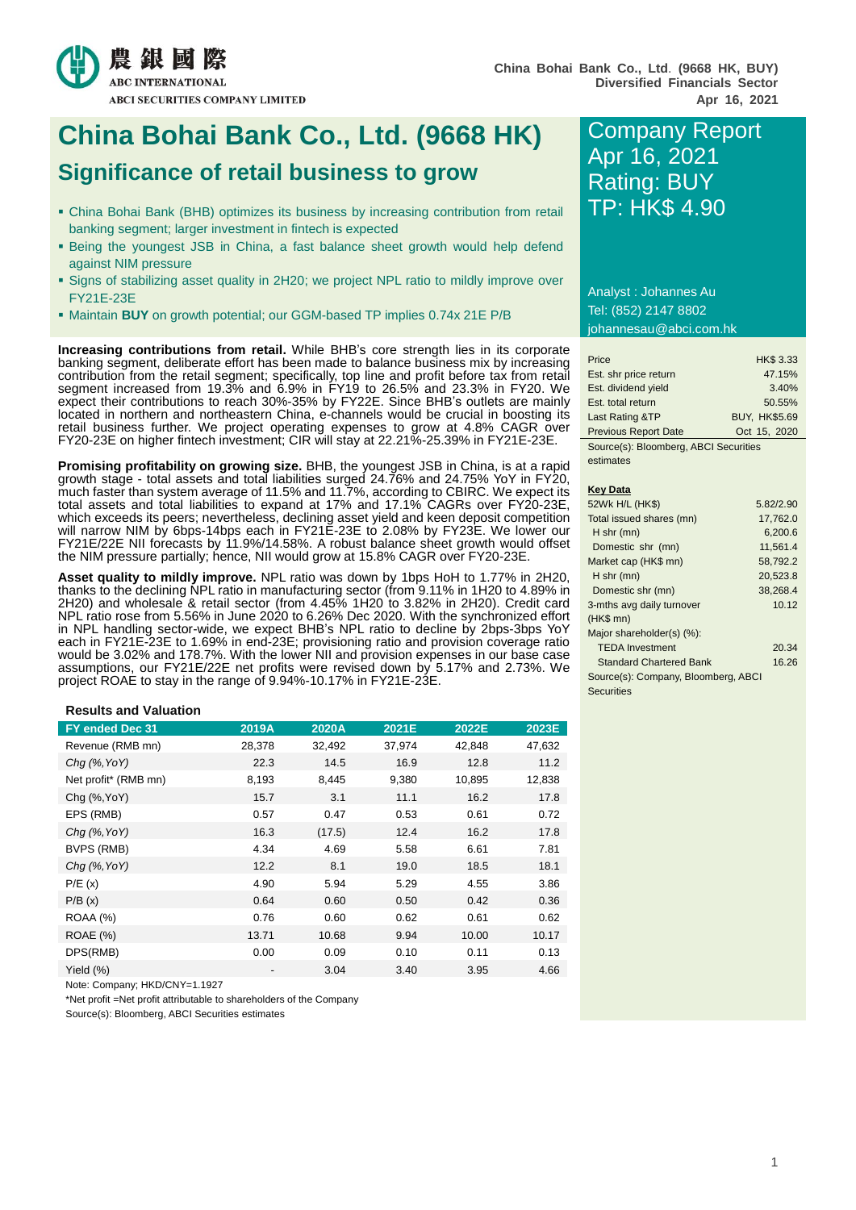

# **China Bohai Bank Co., Ltd. (9668 HK)** Company Report **Significance of retail business to grow**

- China Bohai Bank (BHB) optimizes its business by increasing contribution from retail banking segment; larger investment in fintech is expected
- Being the youngest JSB in China, a fast balance sheet growth would help defend against NIM pressure
- Signs of stabilizing asset quality in 2H20; we project NPL ratio to mildly improve over FY21E-23E
- Maintain **BUY** on growth potential; our GGM-based TP implies 0.74x 21E P/B

**Increasing contributions from retail.** While BHB's core strength lies in its corporate banking segment, deliberate effort has been made to balance business mix by increasing contribution from the retail segment; specifically, top line and profit before tax from retail segment increased from 19.3% and 6.9% in FY19 to 26.5% and 23.3% in FY20. We expect their contributions to reach 30%-35% by FY22E. Since BHB's outlets are mainly located in northern and northeastern China, e-channels would be crucial in boosting its retail business further. We project operating expenses to grow at 4.8% CAGR over FY20-23E on higher fintech investment; CIR will stay at 22.21%-25.39% in FY21E-23E.

**Promising profitability on growing size.** BHB, the youngest JSB in China, is at a rapid growth stage - total assets and total liabilities surged 24.76% and 24.75% YoY in FY20, much faster than system average of 11.5% and 11.7%, according to CBIRC. We expect its total assets and total liabilities to expand at 17% and 17.1% CAGRs over FY20-23E, which exceeds its peers; nevertheless, declining asset yield and keen deposit competition will narrow NIM by 6bps-14bps each in FY21E-23E to 2.08% by FY23E. We lower our FY21E/22E NII forecasts by 11.9%/14.58%. A robust balance sheet growth would offset the NIM pressure partially; hence, NII would grow at 15.8% CAGR over FY20-23E.

**Asset quality to mildly improve.** NPL ratio was down by 1bps HoH to 1.77% in 2H20, thanks to the declining NPL ratio in manufacturing sector (from 9.11% in 1H20 to 4.89% in 2H20) and wholesale & retail sector (from 4.45% 1H20 to 3.82% in 2H20). Credit card NPL ratio rose from 5.56% in June 2020 to 6.26% Dec 2020. With the synchronized effort in NPL handling sector-wide, we expect BHB's NPL ratio to decline by 2bps-3bps YoY each in FY21E-23E to 1.69% in end-23E; provisioning ratio and provision coverage ratio would be 3.02% and 178.7%. With the lower NII and provision expenses in our base case assumptions, our FY21E/22E net profits were revised down by 5.17% and 2.73%. We project ROAE to stay in the range of 9.94%-10.17% in FY21E-23E.

#### **Results and Valuation**

| FY ended Dec 31      | 2019A  | 2020A  | 2021E  | 2022E  | 2023E  |
|----------------------|--------|--------|--------|--------|--------|
| Revenue (RMB mn)     | 28,378 | 32,492 | 37,974 | 42,848 | 47,632 |
| $Chq$ (%, YoY)       | 22.3   | 14.5   | 16.9   | 12.8   | 11.2   |
| Net profit* (RMB mn) | 8,193  | 8,445  | 9,380  | 10,895 | 12,838 |
| Chg (%, YoY)         | 15.7   | 3.1    | 11.1   | 16.2   | 17.8   |
| EPS (RMB)            | 0.57   | 0.47   | 0.53   | 0.61   | 0.72   |
| $Chq$ (%, YoY)       | 16.3   | (17.5) | 12.4   | 16.2   | 17.8   |
| BVPS (RMB)           | 4.34   | 4.69   | 5.58   | 6.61   | 7.81   |
| $Chq$ (%, YoY)       | 12.2   | 8.1    | 19.0   | 18.5   | 18.1   |
| P/E(x)               | 4.90   | 5.94   | 5.29   | 4.55   | 3.86   |
| P/B(x)               | 0.64   | 0.60   | 0.50   | 0.42   | 0.36   |
| <b>ROAA (%)</b>      | 0.76   | 0.60   | 0.62   | 0.61   | 0.62   |
| <b>ROAE</b> (%)      | 13.71  | 10.68  | 9.94   | 10.00  | 10.17  |
| DPS(RMB)             | 0.00   | 0.09   | 0.10   | 0.11   | 0.13   |
| Yield $(\%)$         |        | 3.04   | 3.40   | 3.95   | 4.66   |

Note: Company; HKD/CNY=1.1927

\*Net profit =Net profit attributable to shareholders of the Company

Source(s): Bloomberg, ABCI Securities estimates

# Apr 16, 2021 Rating: BUY TP: HK\$ 4.90

Analyst : Johannes Au Tel: (852) 2147 8802 johannesau@abci.com.hk

| Price                                 | <b>HK\$ 3.33</b>     |  |  |  |
|---------------------------------------|----------------------|--|--|--|
| Est. shr price return                 | 47.15%               |  |  |  |
| Est. dividend yield                   | 3.40%                |  |  |  |
| Est. total return                     | 50.55%               |  |  |  |
| Last Rating &TP                       | <b>BUY, HK\$5.69</b> |  |  |  |
| <b>Previous Report Date</b>           | Oct 15, 2020         |  |  |  |
| Source(s): Bloomberg, ABCI Securities |                      |  |  |  |

estimates

#### **Key Data**

| 52Wk H/L (HK\$)                     | 5.82/2.90 |
|-------------------------------------|-----------|
| Total issued shares (mn)            | 17,762.0  |
| H shr (mn)                          | 6.200.6   |
| Domestic shr (mn)                   | 11,561.4  |
| Market cap (HK\$ mn)                | 58,792.2  |
| $H$ shr (mn)                        | 20,523.8  |
| Domestic shr (mn)                   | 38,268.4  |
| 3-mths avg daily turnover           | 10.12     |
| $(HK$$ mn $)$                       |           |
| Major shareholder(s) (%):           |           |
| <b>TEDA</b> Investment              | 20.34     |
| <b>Standard Chartered Bank</b>      | 16.26     |
| Source(s): Company, Bloomberg, ABCI |           |
| Securities                          |           |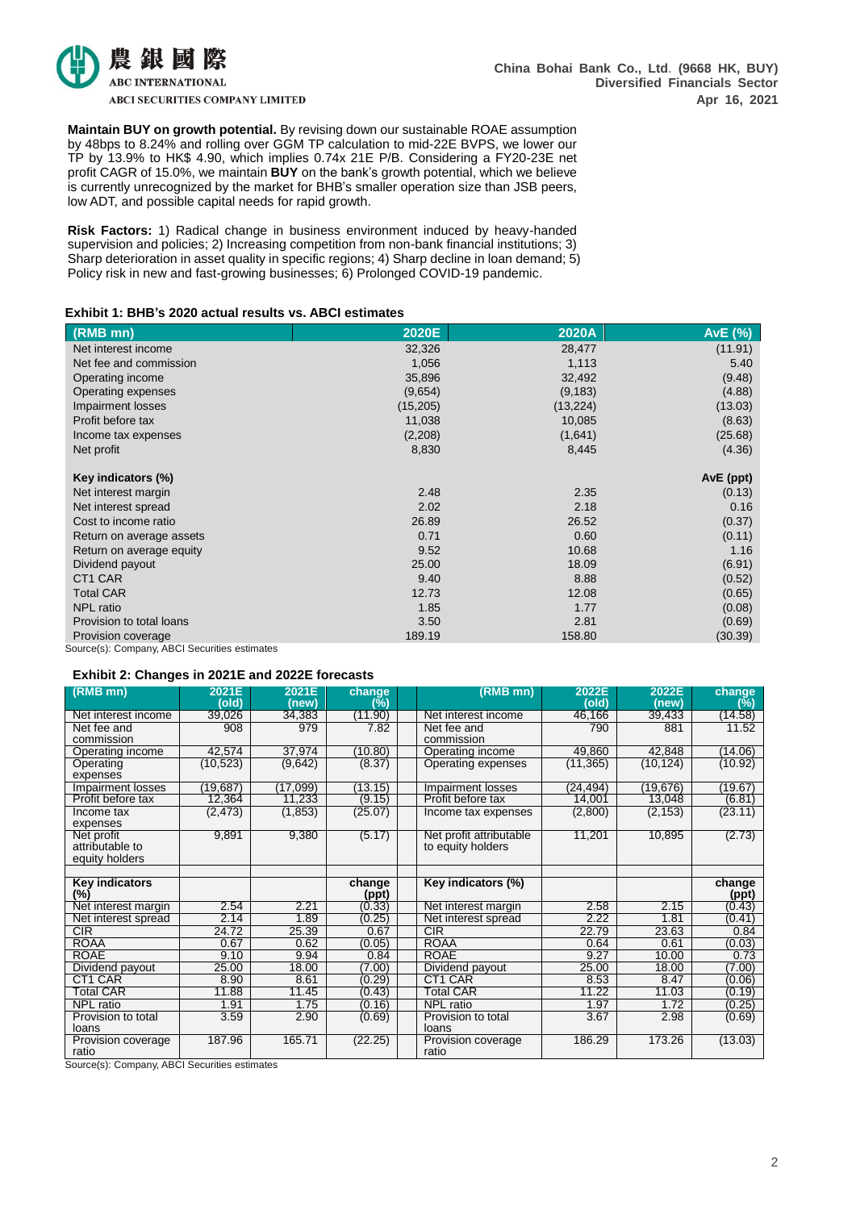

**Maintain BUY on growth potential.** By revising down our sustainable ROAE assumption by 48bps to 8.24% and rolling over GGM TP calculation to mid-22E BVPS, we lower our TP by 13.9% to HK\$ 4.90, which implies 0.74x 21E P/B. Considering a FY20-23E net profit CAGR of 15.0%, we maintain **BUY** on the bank's growth potential, which we believe is currently unrecognized by the market for BHB's smaller operation size than JSB peers, low ADT, and possible capital needs for rapid growth.

**Risk Factors:** 1) Radical change in business environment induced by heavy-handed supervision and policies; 2) Increasing competition from non-bank financial institutions; 3) Sharp deterioration in asset quality in specific regions; 4) Sharp decline in loan demand; 5) Policy risk in new and fast-growing businesses; 6) Prolonged COVID-19 pandemic.

# **Exhibit 1: BHB's 2020 actual results vs. ABCI estimates**

| (RMB mn)                                      | 2020E     | 2020A     | AvE (%)   |
|-----------------------------------------------|-----------|-----------|-----------|
| Net interest income                           | 32,326    | 28,477    | (11.91)   |
| Net fee and commission                        | 1,056     | 1,113     | 5.40      |
| Operating income                              | 35,896    | 32,492    | (9.48)    |
| Operating expenses                            | (9,654)   | (9, 183)  | (4.88)    |
| Impairment losses                             | (15, 205) | (13, 224) | (13.03)   |
| Profit before tax                             | 11,038    | 10,085    | (8.63)    |
| Income tax expenses                           | (2,208)   | (1,641)   | (25.68)   |
| Net profit                                    | 8,830     | 8,445     | (4.36)    |
|                                               |           |           |           |
| Key indicators (%)                            |           |           | AvE (ppt) |
| Net interest margin                           | 2.48      | 2.35      | (0.13)    |
| Net interest spread                           | 2.02      | 2.18      | 0.16      |
| Cost to income ratio                          | 26.89     | 26.52     | (0.37)    |
| Return on average assets                      | 0.71      | 0.60      | (0.11)    |
| Return on average equity                      | 9.52      | 10.68     | 1.16      |
| Dividend payout                               | 25.00     | 18.09     | (6.91)    |
| CT1 CAR                                       | 9.40      | 8.88      | (0.52)    |
| <b>Total CAR</b>                              | 12.73     | 12.08     | (0.65)    |
| NPL ratio                                     | 1.85      | 1.77      | (0.08)    |
| Provision to total loans                      | 3.50      | 2.81      | (0.69)    |
| Provision coverage                            | 189.19    | 158.80    | (30.39)   |
| Source(s): Company, ABCI Securities estimates |           |           |           |

# **Exhibit 2: Changes in 2021E and 2022E forecasts**

| $(RMB$ mn)            | 2021E     | 2021E    | change  | (RMB mn)                | 2022E     | 2022E     | change  |
|-----------------------|-----------|----------|---------|-------------------------|-----------|-----------|---------|
|                       | (old)     | (new)    | (%)     |                         | (old)     | (new)     | (%)     |
| Net interest income   | 39,026    | 34,383   | (11.90) | Net interest income     | 46,166    | 39,433    | (14.58) |
| Net fee and           | 908       | 979      | 7.82    | Net fee and             | 790       | 881       | 11.52   |
| commission            |           |          |         | commission              |           |           |         |
| Operating income      | 42,574    | 37,974   | (10.80) | Operating income        | 49,860    | 42,848    | (14.06) |
| Operating             | (10, 523) | (9,642)  | (8.37)  | Operating expenses      | (11, 365) | (10, 124) | (10.92) |
| expenses              |           |          |         |                         |           |           |         |
| Impairment losses     | (19,687)  | (17,099) | (13.15) | Impairment losses       | (24, 494) | (19, 676) | (19.67) |
| Profit before tax     | 12,364    | 11,233   | (9.15)  | Profit before tax       | 14,001    | 13,048    | (6.81)  |
| Income tax            | (2, 473)  | (1,853)  | (25.07) | Income tax expenses     | (2,800)   | (2, 153)  | (23.11) |
| expenses              |           |          |         |                         |           |           |         |
| Net profit            | 9,891     | 9,380    | (5.17)  | Net profit attributable | 11,201    | 10,895    | (2.73)  |
| attributable to       |           |          |         | to equity holders       |           |           |         |
| equity holders        |           |          |         |                         |           |           |         |
|                       |           |          |         |                         |           |           |         |
| <b>Key indicators</b> |           |          | change  | Key indicators (%)      |           |           | change  |
| $(\%)$                |           |          | (ppt)   |                         |           |           | (ppt)   |
| Net interest margin   | 2.54      | 2.21     | (0.33)  | Net interest margin     | 2.58      | 2.15      | (0.43)  |
| Net interest spread   | 2.14      | 1.89     | (0.25)  | Net interest spread     | 2.22      | 1.81      | (0.41)  |
| CIR                   | 24.72     | 25.39    | 0.67    | <b>CIR</b>              | 22.79     | 23.63     | 0.84    |
| <b>ROAA</b>           | 0.67      | 0.62     | (0.05)  | <b>ROAA</b>             | 0.64      | 0.61      | (0.03)  |
| <b>ROAE</b>           | 9.10      | 9.94     | 0.84    | <b>ROAE</b>             | 9.27      | 10.00     | 0.73    |
| Dividend payout       | 25.00     | 18.00    | (7.00)  | Dividend payout         | 25.00     | 18.00     | (7.00)  |
| CT1 CAR               | 8.90      | 8.61     | (0.29)  | CT1 CAR                 | 8.53      | 8.47      | (0.06)  |
| <b>Total CAR</b>      | 11.88     | 11.45    | (0.43)  | <b>Total CAR</b>        | 11.22     | 11.03     | (0.19)  |
| <b>NPL</b> ratio      | 1.91      | 1.75     | (0.16)  | <b>NPL</b> ratio        | 1.97      | 1.72      | (0.25)  |
| Provision to total    | 3.59      | 2.90     | (0.69)  | Provision to total      | 3.67      | 2.98      | (0.69)  |
| loans                 |           |          |         | loans                   |           |           |         |
| Provision coverage    | 187.96    | 165.71   | (22.25) | Provision coverage      | 186.29    | 173.26    | (13.03) |
| ratio                 |           |          |         | ratio                   |           |           |         |

Source(s): Company, ABCI Securities estimates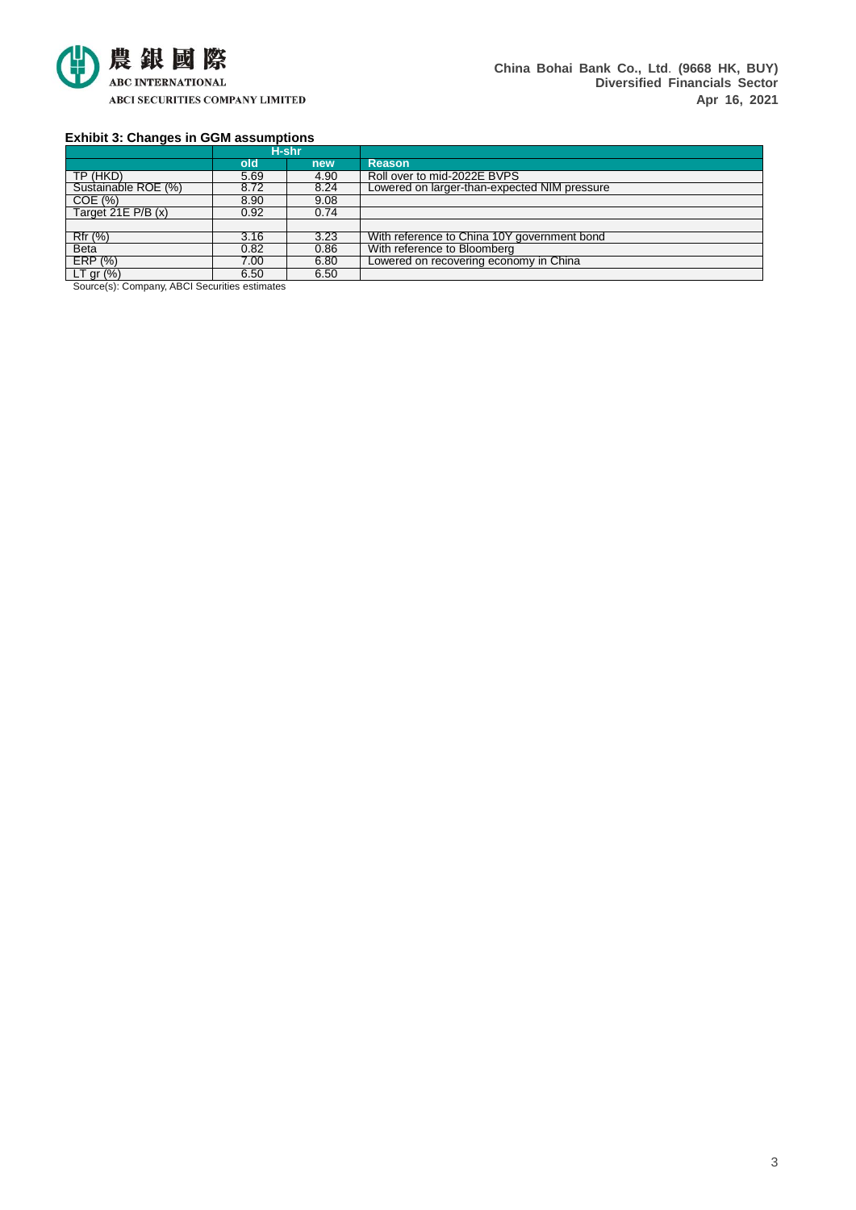

# **Exhibit 3: Changes in GGM assumptions**

|                     |      | H-shr |                                              |
|---------------------|------|-------|----------------------------------------------|
|                     | old  | new   | <b>Reason</b>                                |
| TP (HKD)            | 5.69 | 4.90  | Roll over to mid-2022E BVPS                  |
| Sustainable ROE (%) | 8.72 | 8.24  | Lowered on larger-than-expected NIM pressure |
| COE(%)              | 8.90 | 9.08  |                                              |
| Target $21E P/B(x)$ | 0.92 | 0.74  |                                              |
|                     |      |       |                                              |
| Rfr (%)             | 3.16 | 3.23  | With reference to China 10Y government bond  |
| <b>Beta</b>         | 0.82 | 0.86  | With reference to Bloomberg                  |
| ERP(%)              | 7.00 | 6.80  | Lowered on recovering economy in China       |
| $LT$ gr $(%)$       | 6.50 | 6.50  |                                              |

Source(s): Company, ABCI Securities estimates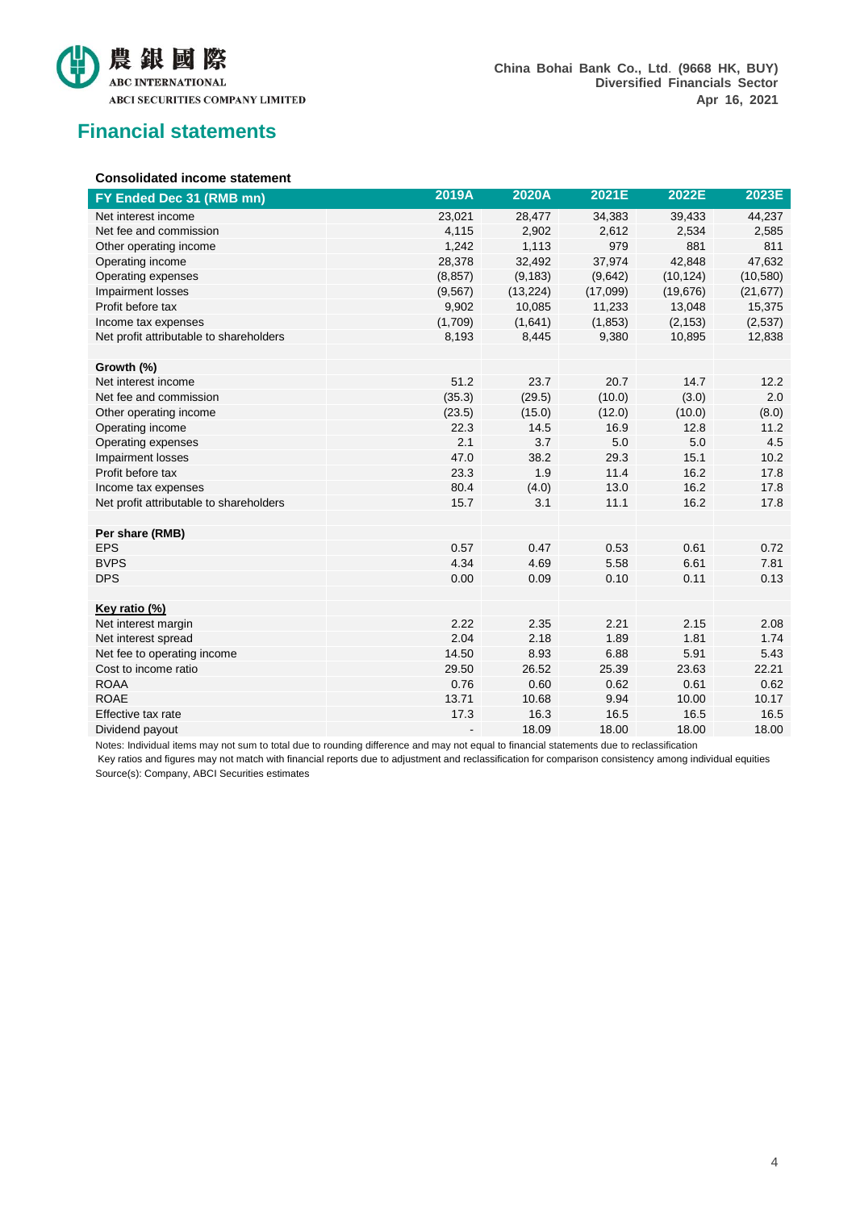

# **Financial statements**

# **Consolidated income statement**

| FY Ended Dec 31 (RMB mn)                | 2019A    | 2020A     | 2021E    | 2022E     | 2023E     |
|-----------------------------------------|----------|-----------|----------|-----------|-----------|
| Net interest income                     | 23,021   | 28,477    | 34,383   | 39,433    | 44,237    |
| Net fee and commission                  | 4,115    | 2,902     | 2,612    | 2,534     | 2,585     |
| Other operating income                  | 1,242    | 1,113     | 979      | 881       | 811       |
| Operating income                        | 28,378   | 32,492    | 37,974   | 42,848    | 47,632    |
| Operating expenses                      | (8, 857) | (9, 183)  | (9,642)  | (10, 124) | (10, 580) |
| Impairment losses                       | (9, 567) | (13, 224) | (17,099) | (19, 676) | (21, 677) |
| Profit before tax                       | 9,902    | 10,085    | 11,233   | 13,048    | 15,375    |
| Income tax expenses                     | (1,709)  | (1,641)   | (1, 853) | (2, 153)  | (2,537)   |
| Net profit attributable to shareholders | 8,193    | 8,445     | 9,380    | 10,895    | 12,838    |
|                                         |          |           |          |           |           |
| Growth (%)                              |          |           |          |           |           |
| Net interest income                     | 51.2     | 23.7      | 20.7     | 14.7      | 12.2      |
| Net fee and commission                  | (35.3)   | (29.5)    | (10.0)   | (3.0)     | 2.0       |
| Other operating income                  | (23.5)   | (15.0)    | (12.0)   | (10.0)    | (8.0)     |
| Operating income                        | 22.3     | 14.5      | 16.9     | 12.8      | 11.2      |
| Operating expenses                      | 2.1      | 3.7       | 5.0      | 5.0       | 4.5       |
| Impairment losses                       | 47.0     | 38.2      | 29.3     | 15.1      | 10.2      |
| Profit before tax                       | 23.3     | 1.9       | 11.4     | 16.2      | 17.8      |
| Income tax expenses                     | 80.4     | (4.0)     | 13.0     | 16.2      | 17.8      |
| Net profit attributable to shareholders | 15.7     | 3.1       | 11.1     | 16.2      | 17.8      |
|                                         |          |           |          |           |           |
| Per share (RMB)                         |          |           |          |           |           |
| <b>EPS</b>                              | 0.57     | 0.47      | 0.53     | 0.61      | 0.72      |
| <b>BVPS</b>                             | 4.34     | 4.69      | 5.58     | 6.61      | 7.81      |
| <b>DPS</b>                              | 0.00     | 0.09      | 0.10     | 0.11      | 0.13      |
|                                         |          |           |          |           |           |
| Key ratio (%)                           |          |           |          |           |           |
| Net interest margin                     | 2.22     | 2.35      | 2.21     | 2.15      | 2.08      |
| Net interest spread                     | 2.04     | 2.18      | 1.89     | 1.81      | 1.74      |
| Net fee to operating income             | 14.50    | 8.93      | 6.88     | 5.91      | 5.43      |
| Cost to income ratio                    | 29.50    | 26.52     | 25.39    | 23.63     | 22.21     |
| <b>ROAA</b>                             | 0.76     | 0.60      | 0.62     | 0.61      | 0.62      |
| <b>ROAE</b>                             | 13.71    | 10.68     | 9.94     | 10.00     | 10.17     |
| Effective tax rate                      | 17.3     | 16.3      | 16.5     | 16.5      | 16.5      |
| Dividend payout                         |          | 18.09     | 18.00    | 18.00     | 18.00     |

Notes: Individual items may not sum to total due to rounding difference and may not equal to financial statements due to reclassification

Key ratios and figures may not match with financial reports due to adjustment and reclassification for comparison consistency among individual equities Source(s): Company, ABCI Securities estimates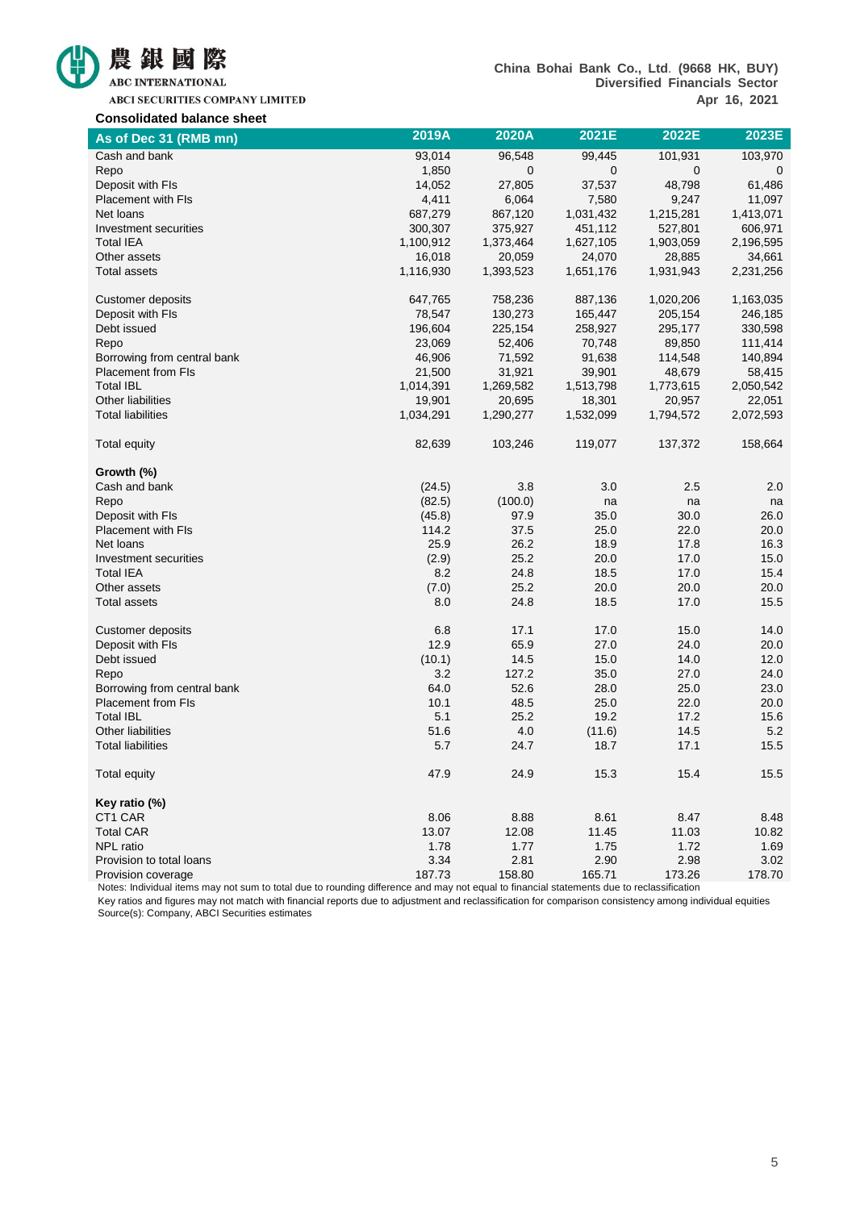

ABCI SECURITIES COMPANY LIMITED

| 0011001100100 00101100 011001<br>As of Dec 31 (RMB mn) | 2019A     | 2020A     | 2021E       | 2022E     | 2023E     |
|--------------------------------------------------------|-----------|-----------|-------------|-----------|-----------|
| Cash and bank                                          | 93,014    | 96,548    | 99,445      | 101,931   | 103,970   |
| Repo                                                   | 1,850     | 0         | $\mathbf 0$ | 0         | 0         |
| Deposit with FIs                                       | 14,052    | 27,805    | 37,537      | 48,798    | 61,486    |
| Placement with FIs                                     | 4,411     | 6,064     | 7,580       | 9,247     | 11,097    |
| Net loans                                              | 687,279   | 867,120   | 1,031,432   | 1,215,281 | 1,413,071 |
| Investment securities                                  | 300,307   | 375,927   | 451,112     | 527,801   | 606,971   |
| <b>Total IEA</b>                                       | 1,100,912 | 1,373,464 | 1,627,105   | 1,903,059 | 2,196,595 |
| Other assets                                           | 16,018    | 20,059    | 24,070      | 28,885    | 34,661    |
| Total assets                                           | 1,116,930 | 1,393,523 | 1,651,176   | 1,931,943 | 2,231,256 |
| <b>Customer deposits</b>                               | 647,765   | 758,236   | 887,136     | 1,020,206 | 1,163,035 |
| Deposit with FIs                                       | 78,547    | 130,273   | 165,447     | 205,154   | 246,185   |
| Debt issued                                            | 196,604   | 225,154   | 258,927     | 295,177   | 330,598   |
| Repo                                                   | 23,069    | 52,406    | 70,748      | 89,850    | 111,414   |
| Borrowing from central bank                            | 46,906    | 71,592    | 91,638      | 114,548   | 140,894   |
| <b>Placement from FIs</b>                              | 21,500    | 31,921    | 39,901      | 48,679    | 58,415    |
| <b>Total IBL</b>                                       | 1,014,391 | 1,269,582 | 1,513,798   | 1,773,615 | 2,050,542 |
| Other liabilities                                      | 19,901    | 20,695    | 18,301      | 20,957    | 22,051    |
| <b>Total liabilities</b>                               | 1,034,291 | 1,290,277 | 1,532,099   | 1,794,572 | 2,072,593 |
| <b>Total equity</b>                                    | 82,639    | 103,246   | 119,077     | 137,372   | 158,664   |
| Growth (%)                                             |           |           |             |           |           |
| Cash and bank                                          | (24.5)    | 3.8       | 3.0         | 2.5       | 2.0       |
| Repo                                                   | (82.5)    | (100.0)   | na          | na        | na        |
| Deposit with FIs                                       | (45.8)    | 97.9      | 35.0        | 30.0      | 26.0      |
| <b>Placement with FIs</b>                              | 114.2     | 37.5      | 25.0        | 22.0      | 20.0      |
| Net loans                                              | 25.9      | 26.2      | 18.9        | 17.8      | 16.3      |
| Investment securities                                  | (2.9)     | 25.2      | 20.0        | 17.0      | 15.0      |
| <b>Total IEA</b>                                       | 8.2       | 24.8      | 18.5        | 17.0      | 15.4      |
| Other assets                                           | (7.0)     | 25.2      | 20.0        | 20.0      | 20.0      |
| Total assets                                           | 8.0       | 24.8      | 18.5        | 17.0      | 15.5      |
| <b>Customer deposits</b>                               | 6.8       | 17.1      | 17.0        | 15.0      | 14.0      |
| Deposit with FIs                                       | 12.9      | 65.9      | 27.0        | 24.0      | 20.0      |
| Debt issued                                            | (10.1)    | 14.5      | 15.0        | 14.0      | 12.0      |
| Repo                                                   | 3.2       | 127.2     | 35.0        | 27.0      | 24.0      |
| Borrowing from central bank                            | 64.0      | 52.6      | 28.0        | 25.0      | 23.0      |
| <b>Placement from FIs</b>                              | 10.1      | 48.5      | 25.0        | 22.0      | 20.0      |
| <b>Total IBL</b>                                       | 5.1       | 25.2      | 19.2        | 17.2      | 15.6      |
| Other liabilities                                      | 51.6      | 4.0       | (11.6)      | 14.5      | 5.2       |
| <b>Total liabilities</b>                               | 5.7       | 24.7      | 18.7        | 17.1      | 15.5      |
| Total equity                                           | 47.9      | 24.9      | 15.3        | 15.4      | 15.5      |
| Key ratio (%)                                          |           |           |             |           |           |
| CT1 CAR                                                | 8.06      | 8.88      | 8.61        | 8.47      | 8.48      |
| <b>Total CAR</b>                                       | 13.07     | 12.08     | 11.45       | 11.03     | 10.82     |
| NPL ratio                                              | 1.78      | 1.77      | 1.75        | 1.72      | 1.69      |
| Provision to total loans                               | 3.34      | 2.81      | 2.90        | 2.98      | 3.02      |
| Provision coverage                                     | 187.73    | 158.80    | 165.71      | 173.26    | 178.70    |

Notes: Individual items may not sum to total due to rounding difference and may not equal to financial statements due to reclassification

Key ratios and figures may not match with financial reports due to adjustment and reclassification for comparison consistency among individual equities Source(s): Company, ABCI Securities estimates